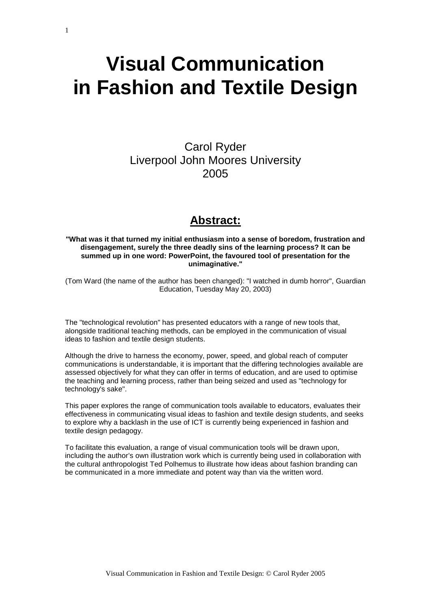# **Visual Communication in Fashion and Textile Design**

Carol Ryder Liverpool John Moores University 2005

## **Abstract:**

#### **"What was it that turned my initial enthusiasm into a sense of boredom, frustration and disengagement, surely the three deadly sins of the learning process? It can be summed up in one word: PowerPoint, the favoured tool of presentation for the unimaginative."**

(Tom Ward (the name of the author has been changed): "I watched in dumb horror", Guardian Education, Tuesday May 20, 2003)

The "technological revolution" has presented educators with a range of new tools that, alongside traditional teaching methods, can be employed in the communication of visual ideas to fashion and textile design students.

Although the drive to harness the economy, power, speed, and global reach of computer communications is understandable, it is important that the differing technologies available are assessed objectively for what they can offer in terms of education, and are used to optimise the teaching and learning process, rather than being seized and used as "technology for technology's sake".

This paper explores the range of communication tools available to educators, evaluates their effectiveness in communicating visual ideas to fashion and textile design students, and seeks to explore why a backlash in the use of ICT is currently being experienced in fashion and textile design pedagogy.

To facilitate this evaluation, a range of visual communication tools will be drawn upon, including the author's own illustration work which is currently being used in collaboration with the cultural anthropologist Ted Polhemus to illustrate how ideas about fashion branding can be communicated in a more immediate and potent way than via the written word.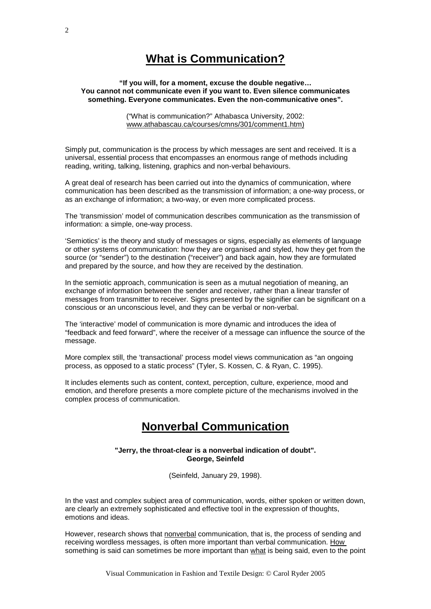# **What is Communication?**

#### **"If you will, for a moment, excuse the double negative… You cannot not communicate even if you want to. Even silence communicates something. Everyone communicates. Even the non-communicative ones".**

("What is communication?" Athabasca University, 2002: www.athabascau.ca/courses/cmns/301/comment1[.htm\)](http://www.athabascau.ca/)

Simply put, communication is the process by which messages are sent and received. It is a universal, essential process that encompasses an enormous range of methods including reading, writing, talking, listening, graphics and non-verbal behaviours.

A great deal of research has been carried out into the dynamics of communication, where communication has been described as the transmission of information; a one-way process, or as an exchange of information; a two-way, or even more complicated process.

The 'transmission' model of communication describes communication as the transmission of information: a simple, one-way process.

'Semiotics' is the theory and study of messages or signs, especially as elements of language or other systems of communication: how they are organised and styled, how they get from the source (or "sender") to the destination ("receiver") and back again, how they are formulated and prepared by the source, and how they are received by the destination.

In the semiotic approach, communication is seen as a mutual negotiation of meaning, an exchange of information between the sender and receiver, rather than a linear transfer of messages from transmitter to receiver. Signs presented by the signifier can be significant on a conscious or an unconscious level, and they can be verbal or non-verbal.

The 'interactive' model of communication is more dynamic and introduces the idea of "feedback and feed forward", where the receiver of a message can influence the source of the message.

More complex still, the 'transactional' process model views communication as "an ongoing process, as opposed to a static process" (Tyler, S. Kossen, C. & Ryan, C. 1995).

It includes elements such as content, context, perception, culture, experience, mood and emotion, and therefore presents a more complete picture of the mechanisms involved in the complex process of communication.

### **Nonverbal Communication**

#### **"Jerry, the [throat-clear](http://members.aol.com/nonverbal2/throat.htm) is a nonverbal indication of doubt". George, Seinfeld**

(Seinfeld, January 29, 1998).

In the vast and complex subject area of communication, words, either spoken or written down, are clearly an extremely sophisticated and effective tool in the expression of thoughts, emotions and ideas.

However, research shows that nonverbal communication, that is, the process of sending and receiving wordless messages, is often more important than verbal communication. How something is said can sometimes be more important than what is being said, even to the point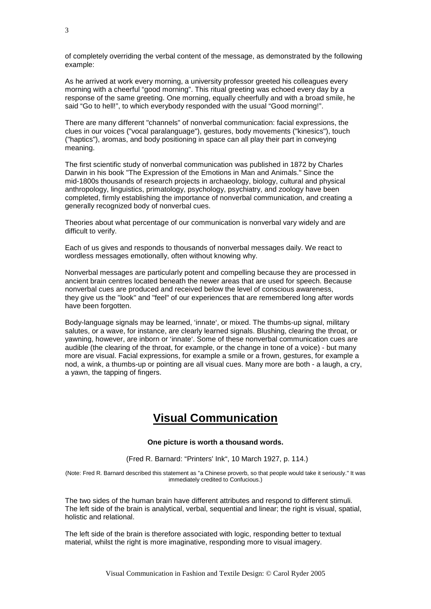of completely overriding the verbal content of the message, as demonstrated by the following example:

As he arrived at work every morning, a university professor greeted his colleagues every morning with a cheerful "good morning". This ritual greeting was echoed every day by a response of the same greeting. One morning, equally cheerfully and with a broad smile, he said "Go to hell!", to which everybody responded with the usual "Good morning!".

There are many different "channels" of nonverbal communication: facial expressions, the clues in our voices ("vocal paralanguage"), gestures, body movements ("kinesics"), touch ("haptics"), aromas, and body positioning in space can all play their part in conveying meaning.

The first scientific study of nonverbal communication was published in 1872 by Charles Darwin in his book "The Expression of the Emotions in Man and Animals." Since the mid-1800s thousands of research projects in archaeology, biology, cultural and physical anthropology, linguistics, primatology, psychology, psychiatry, and zoology have been completed, firmly establishing the importance of nonverbal communication, and creating a generally recognized body of nonverbal cues.

Theories about what percentage of our communication is nonverbal vary widely and are difficult to verify.

Each of us gives and responds to thousands of nonverbal messages daily. We react to wordless messages emotionally, often without knowing why.

Nonverbal messages are particularly potent and compelling because they are processed in ancient brain centres located beneath the newer areas that are used for speech. Because nonverbal cues are produced and received below the level of conscious awareness, they give us the "look" and "feel" of our experiences that are remembered long after words have been forgotten.

Body-language signals may be learned, 'innate', or mixed. The thumbs-up signal, military salutes, or a wave, for instance, are clearly learned signals. Blushing, clearing the throat, or yawning, however, are inborn or 'innate'. Some of these nonverbal communication cues are audible (the clearing of the throat, for example, or the change in tone of a voice) - but many more are visual. Facial expressions, for example a smile or a frown, gestures, for example a nod, a wink, a thumbs-up or pointing are all visual cues. Many more are both - a laugh, a cry, a yawn, the tapping of fingers.

### **Visual Communication**

#### **One picture is worth a thousand words.**

(Fred R. Barnard: "Printers' Ink", 10 March 1927, p. 114.)

(Note: Fred R. Barnard described this statement as "a Chinese proverb, so that people would take it seriously." It was immediately credited to Confucious.)

The two sides of the human brain have different attributes and respond to different stimuli. The left side of the brain is analytical, verbal, sequential and linear; the right is visual, spatial, holistic and relational.

The left side of the brain is therefore associated with logic, responding better to textual material, whilst the right is more imaginative, responding more to visual imagery.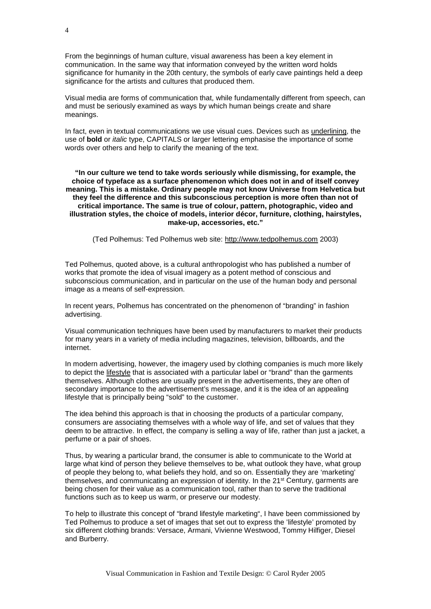From the beginnings of human culture, visual awareness has been a key element in communication. In the same way that information conveyed by the written word holds significance for humanity in the 20th century, the symbols of early cave paintings held a deep significance for the artists and cultures that produced them.

Visual media are forms of communication that, while fundamentally different from speech, can and must be seriously examined as ways by which human beings create and share meanings.

In fact, even in textual communications we use visual cues. Devices such as underlining, the use of **bold** or *italic* type, CAPITALS or larger lettering emphasise the importance of some words over others and help to clarify the meaning of the text.

**"In our culture we tend to take words seriously while dismissing, for example, the choice of typeface as a surface phenomenon which does not in and of itself convey meaning. This is a mistake. Ordinary people may not know Universe from Helvetica but they feel the difference and this subconscious perception is more often than not of critical importance. The same is true of colour, pattern, photographic, video and illustration styles, the choice of models, interior décor, furniture, clothing, hairstyles, make-up, accessories, etc."**

(Ted Polhemus: Ted Polhemus web site: [http://www.tedpolhemus.com](http://www.tedpolhemus.com/main_concept3.html) 2003)

Ted Polhemus, quoted above, is a cultural anthropologist who has published a number of works that promote the idea of visual imagery as a potent method of conscious and subconscious communication, and in particular on the use of the human body and personal image as a means of self-expression.

In recent years, Polhemus has concentrated on the phenomenon of "branding" in fashion advertising.

Visual communication techniques have been used by manufacturers to market their products for many years in a variety of media including magazines, television, billboards, and the internet.

In modern advertising, however, the imagery used by clothing companies is much more likely to depict the lifestyle that is associated with a particular label or "brand" than the garments themselves. Although clothes are usually present in the advertisements, they are often of secondary importance to the advertisement's message, and it is the idea of an appealing lifestyle that is principally being "sold" to the customer.

The idea behind this approach is that in choosing the products of a particular company, consumers are associating themselves with a whole way of life, and set of values that they deem to be attractive. In effect, the company is selling a way of life, rather than just a jacket, a perfume or a pair of shoes.

Thus, by wearing a particular brand, the consumer is able to communicate to the World at large what kind of person they believe themselves to be, what outlook they have, what group of people they belong to, what beliefs they hold, and so on. Essentially they are 'marketing' themselves, and communicating an expression of identity. In the 21st Century, garments are being chosen for their value as a communication tool, rather than to serve the traditional functions such as to keep us warm, or preserve our modesty.

To help to illustrate this concept of "brand lifestyle marketing", I have been commissioned by Ted Polhemus to produce a set of images that set out to express the 'lifestyle' promoted by six different clothing brands: Versace, Armani, Vivienne Westwood, Tommy Hilfiger, Diesel and Burberry.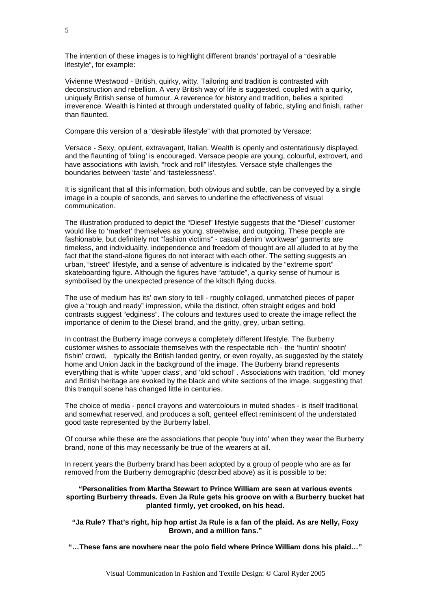The intention of these images is to highlight different brands' portrayal of a "desirable" lifestyle", for example:

Vivienne Westwood - British, quirky, witty. Tailoring and tradition is contrasted with deconstruction and rebellion. A very British way of life is suggested, coupled with a quirky, uniquely British sense of humour. A reverence for history and tradition, belies a spirited irreverence. Wealth is hinted at through understated quality of fabric, styling and finish, rather than flaunted.

Compare this version of a "desirable lifestyle" with that promoted by Versace:

Versace - Sexy, opulent, extravagant, Italian. Wealth is openly and ostentatiously displayed, and the flaunting of 'bling' is encouraged. Versace people are young, colourful, extrovert, and have associations with lavish, "rock and roll" lifestyles. Versace style challenges the boundaries between 'taste' and 'tastelessness'.

It is significant that all this information, both obvious and subtle, can be conveyed by a single image in a couple of seconds, and serves to underline the effectiveness of visual communication.

The illustration produced to depict the "Diesel" lifestyle suggests that the "Diesel" customer would like to 'market' themselves as young, streetwise, and outgoing. These people are fashionable, but definitely not "fashion victims" - casual denim 'workwear' garments are timeless, and individuality, independence and freedom of thought are all alluded to at by the fact that the stand-alone figures do not interact with each other. The setting suggests an urban, "street" lifestyle, and a sense of adventure is indicated by the "extreme sport" skateboarding figure. Although the figures have "attitude", a quirky sense of humour is symbolised by the unexpected presence of the kitsch flying ducks.

The use of medium has its' own story to tell - roughly collaged, unmatched pieces of paper give a "rough and ready" impression, while the distinct, often straight edges and bold contrasts suggest "edginess". The colours and textures used to create the image reflect the importance of denim to the Diesel brand, and the gritty, grey, urban setting.

In contrast the Burberry image conveys a completely different lifestyle. The Burberry customer wishes to associate themselves with the respectable rich - the 'huntin' shootin' fishin' crowd, typically the British landed gentry, or even royalty, as suggested by the stately home and Union Jack in the background of the image. The Burberry brand represents everything that is white 'upper class', and 'old school' . Associations with tradition, 'old' money and British heritage are evoked by the black and white sections of the image, suggesting that this tranquil scene has changed little in centuries.

The choice of media - pencil crayons and watercolours in muted shades - is itself traditional, and somewhat reserved, and produces a soft, genteel effect reminiscent of the understated good taste represented by the Burberry label.

Of course while these are the associations that people 'buy into' when they wear the Burberry brand, none of this may necessarily be true of the wearers at all.

In recent years the Burberry brand has been adopted by a group of people who are as far removed from the Burberry demographic (described above) as it is possible to be:

#### **"Personalities from Martha Stewart to Prince William are seen at various events sporting Burberry threads. Even Ja Rule gets his groove on with a Burberry bucket hat planted firmly, yet crooked, on his head.**

**"Ja Rule? That's right, hip hop artist Ja Rule is a fan of the plaid. As are Nelly, Foxy Brown, and a million fans."**

**"…These fans are nowhere near the polo field where Prince William dons his plaid…"**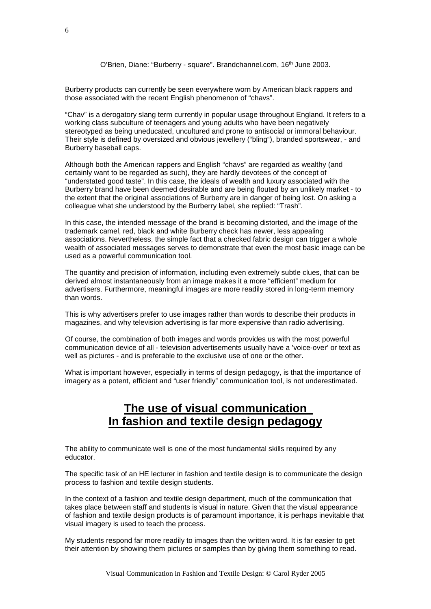#### O'Brien, Diane: "Burberry - square". Brandchannel.com, 16<sup>th</sup> June 2003.

Burberry products can currently be seen everywhere worn by American black rappers and those associated with the recent English phenomenon of "chavs".

"Chav" is a derogatory slang term currently in popular usage throughout England. It refers to a working class subculture of teenagers and young adults who have been negatively stereotyped as being uneducated, uncultured and prone to antisocial or immoral behaviour. Their style is defined by oversized and obvious jewellery ("bling"), branded sportswear, - and Burberry baseball caps.

Although both the American rappers and English "chavs" are regarded as wealthy (and certainly want to be regarded as such), they are hardly devotees of the concept of "understated good taste". In this case, the ideals of wealth and luxury associated with the Burberry brand have been deemed desirable and are being flouted by an unlikely market - to the extent that the original associations of Burberry are in danger of being lost. On asking a colleague what she understood by the Burberry label, she replied: "Trash".

In this case, the intended message of the brand is becoming distorted, and the image of the trademark camel, red, black and white Burberry check has newer, less appealing associations. Nevertheless, the simple fact that a checked fabric design can trigger a whole wealth of associated messages serves to demonstrate that even the most basic image can be used as a powerful communication tool.

The quantity and precision of information, including even extremely subtle clues, that can be derived almost instantaneously from an image makes it a more "efficient" medium for advertisers. Furthermore, meaningful images are more readily stored in long-term memory than words.

This is why advertisers prefer to use images rather than words to describe their products in magazines, and why television advertising is far more expensive than radio advertising.

Of course, the combination of both images and words provides us with the most powerful communication device of all - television advertisements usually have a 'voice-over' or text as well as pictures - and is preferable to the exclusive use of one or the other.

What is important however, especially in terms of design pedagogy, is that the importance of imagery as a potent, efficient and "user friendly" communication tool, is not underestimated.

# **The use of visual communication In fashion and textile design pedagogy**

The ability to communicate well is one of the most fundamental skills required by any educator.

The specific task of an HE lecturer in fashion and textile design is to communicate the design process to fashion and textile design students.

In the context of a fashion and textile design department, much of the communication that takes place between staff and students is visual in nature. Given that the visual appearance of fashion and textile design products is of paramount importance, it is perhaps inevitable that visual imagery is used to teach the process.

My students respond far more readily to images than the written word. It is far easier to get their attention by showing them pictures or samples than by giving them something to read.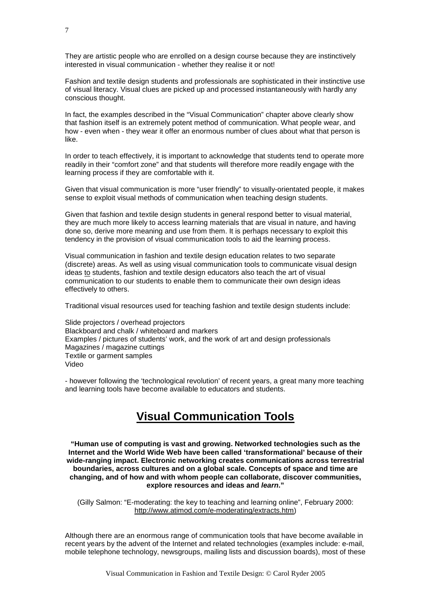They are artistic people who are enrolled on a design course because they are instinctively interested in visual communication - whether they realise it or not!

Fashion and textile design students and professionals are sophisticated in their instinctive use of visual literacy. Visual clues are picked up and processed instantaneously with hardly any conscious thought.

In fact, the examples described in the "Visual Communication" chapter above clearly show that fashion itself is an extremely potent method of communication. What people wear, and how - even when - they wear it offer an enormous number of clues about what that person is like.

In order to teach effectively, it is important to acknowledge that students tend to operate more readily in their "comfort zone" and that students will therefore more readily engage with the learning process if they are comfortable with it.

Given that visual communication is more "user friendly" to visually-orientated people, it makes sense to exploit visual methods of communication when teaching design students.

Given that fashion and textile design students in general respond better to visual material, they are much more likely to access learning materials that are visual in nature, and having done so, derive more meaning and use from them. It is perhaps necessary to exploit this tendency in the provision of visual communication tools to aid the learning process.

Visual communication in fashion and textile design education relates to two separate (discrete) areas. As well as using visual communication tools to communicate visual design ideas to students, fashion and textile design educators also teach the art of visual communication to our students to enable them to communicate their own design ideas effectively to others.

Traditional visual resources used for teaching fashion and textile design students include:

Slide projectors / overhead projectors Blackboard and chalk / whiteboard and markers Examples / pictures of students' work, and the work of art and design professionals Magazines / magazine cuttings Textile or garment samples Video

- however following the 'technological revolution' of recent years, a great many more teaching and learning tools have become available to educators and students.

### **Visual Communication Tools**

**"Human use of computing is vast and growing. Networked technologies such as the Internet and the World Wide Web have been called 'transformational' because of their wide-ranging impact. Electronic networking creates communications across terrestrial boundaries, across cultures and on a global scale. Concepts of space and time are changing, and of how and with whom people can collaborate, discover communities, explore resources and ideas and** *learn***."**

(Gilly Salmon: "E-moderating: the key to teaching and learning online", February 2000: [http://www.atimod.com/e-moderating/extracts.htm\)](http://www.atimod.com/e-moderating/extracts.htm)

Although there are an enormous range of communication tools that have become available in recent years by the advent of the Internet and related technologies (examples include: e-mail, mobile telephone technology, newsgroups, mailing lists and discussion boards), most of these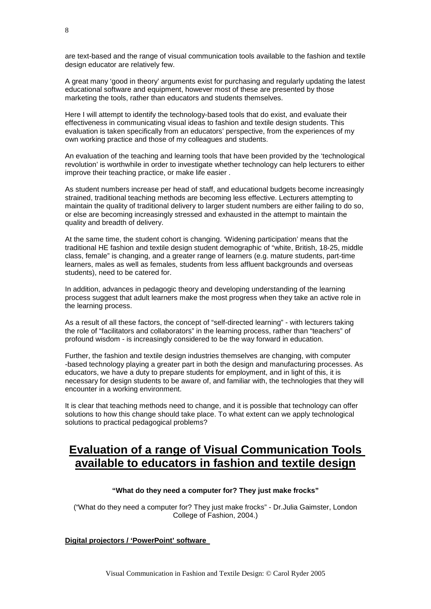are text-based and the range of visual communication tools available to the fashion and textile design educator are relatively few.

A great many 'good in theory' arguments exist for purchasing and regularly updating the latest educational software and equipment, however most of these are presented by those marketing the tools, rather than educators and students themselves.

Here I will attempt to identify the technology-based tools that do exist, and evaluate their effectiveness in communicating visual ideas to fashion and textile design students. This evaluation is taken specifically from an educators' perspective, from the experiences of my own working practice and those of my colleagues and students.

An evaluation of the teaching and learning tools that have been provided by the 'technological revolution' is worthwhile in order to investigate whether technology can help lecturers to either improve their teaching practice, or make life easier .

As student numbers increase per head of staff, and educational budgets become increasingly strained, traditional teaching methods are becoming less effective. Lecturers attempting to maintain the quality of traditional delivery to larger student numbers are either failing to do so, or else are becoming increasingly stressed and exhausted in the attempt to maintain the quality and breadth of delivery.

At the same time, the student cohort is changing. 'Widening participation' means that the traditional HE fashion and textile design student demographic of "white, British, 18-25, middle class, female" is changing, and a greater range of learners (e.g. mature students, part-time learners, males as well as females, students from less affluent backgrounds and overseas students), need to be catered for.

In addition, advances in pedagogic theory and developing understanding of the learning process suggest that adult learners make the most progress when they take an active role in the learning process.

As a result of all these factors, the concept of "self-directed learning" - with lecturers taking the role of "facilitators and collaborators" in the learning process, rather than "teachers" of profound wisdom - is increasingly considered to be the way forward in education.

Further, the fashion and textile design industries themselves are changing, with computer -based technology playing a greater part in both the design and manufacturing processes. As educators, we have a duty to prepare students for employment, and in light of this, it is necessary for design students to be aware of, and familiar with, the technologies that they will encounter in a working environment.

It is clear that teaching methods need to change, and it is possible that technology can offer solutions to how this change should take place. To what extent can we apply technological solutions to practical pedagogical problems?

# **Evaluation of a range of Visual Communication Tools available to educators in fashion and textile design**

#### **"What do they need a computer for? They just make frocks"**

("What do they need a computer for? They just make frocks" - Dr.Julia Gaimster, London College of Fashion, 2004.)

#### **Digital projectors / 'PowerPoint' software**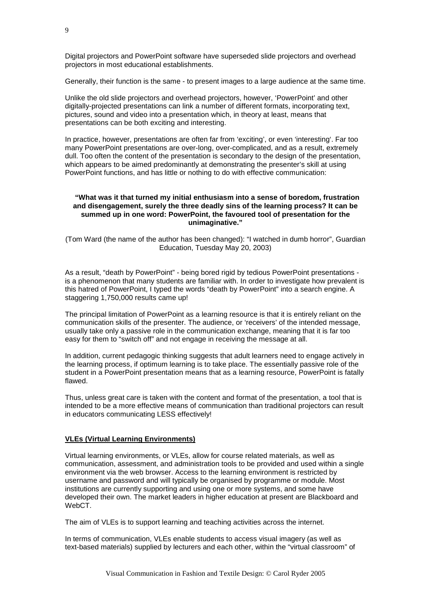Digital projectors and PowerPoint software have superseded slide projectors and overhead projectors in most educational establishments.

Generally, their function is the same - to present images to a large audience at the same time.

Unlike the old slide projectors and overhead projectors, however, 'PowerPoint' and other digitally-projected presentations can link a number of different formats, incorporating text, pictures, sound and video into a presentation which, in theory at least, means that presentations can be both exciting and interesting.

In practice, however, presentations are often far from 'exciting', or even 'interesting'. Far too many PowerPoint presentations are over-long, over-complicated, and as a result, extremely dull. Too often the content of the presentation is secondary to the design of the presentation, which appears to be aimed predominantly at demonstrating the presenter's skill at using PowerPoint functions, and has little or nothing to do with effective communication:

#### **"What was it that turned my initial enthusiasm into a sense of boredom, frustration and disengagement, surely the three deadly sins of the learning process? It can be summed up in one word: PowerPoint, the favoured tool of presentation for the unimaginative."**

(Tom Ward (the name of the author has been changed): "I watched in dumb horror", Guardian Education, Tuesday May 20, 2003)

As a result, "death by PowerPoint" - being bored rigid by tedious PowerPoint presentations is a phenomenon that many students are familiar with. In order to investigate how prevalent is this hatred of PowerPoint, I typed the words "death by PowerPoint" into a search engine. A staggering 1,750,000 results came up!

The principal limitation of PowerPoint as a learning resource is that it is entirely reliant on the communication skills of the presenter. The audience, or 'receivers' of the intended message, usually take only a passive role in the communication exchange, meaning that it is far too easy for them to "switch off" and not engage in receiving the message at all.

In addition, current pedagogic thinking suggests that adult learners need to engage actively in the learning process, if optimum learning is to take place. The essentially passive role of the student in a PowerPoint presentation means that as a learning resource, PowerPoint is fatally flawed.

Thus, unless great care is taken with the content and format of the presentation, a tool that is intended to be a more effective means of communication than traditional projectors can result in educators communicating LESS effectively!

#### **VLEs (Virtual Learning Environments)**

Virtual learning environments, or VLEs, allow for course related materials, as well as communication, assessment, and administration tools to be provided and used within a single environment via the web browser. Access to the learning environment is restricted by username and password and will typically be organised by programme or module. Most institutions are currently supporting and using one or more systems, and some have developed their own. The market leaders in higher education at present are Blackboard and WebCT.

The aim of VLEs is to support learning and teaching activities across the internet.

In terms of communication, VLEs enable students to access visual imagery (as well as text-based materials) supplied by lecturers and each other, within the "virtual classroom" of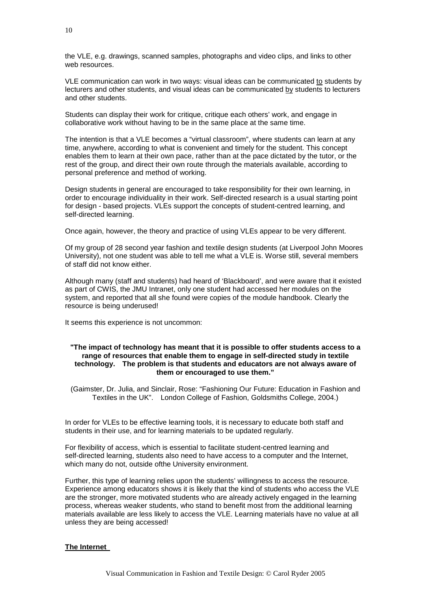the VLE, e.g. drawings, scanned samples, photographs and video clips, and links to other web resources.

VLE communication can work in two ways: visual ideas can be communicated to students by lecturers and other students, and visual ideas can be communicated by students to lecturers and other students.

Students can display their work for critique, critique each others' work, and engage in collaborative work without having to be in the same place at the same time.

The intention is that a VLE becomes a "virtual classroom", where students can learn at any time, anywhere, according to what is convenient and timely for the student. This concept enables them to learn at their own pace, rather than at the pace dictated by the tutor, or the rest of the group, and direct their own route through the materials available, according to personal preference and method of working.

Design students in general are encouraged to take responsibility for their own learning, in order to encourage individuality in their work. Self-directed research is a usual starting point for design - based projects. VLEs support the concepts of student-centred learning, and self-directed learning.

Once again, however, the theory and practice of using VLEs appear to be very different.

Of my group of 28 second year fashion and textile design students (at Liverpool John Moores University), not one student was able to tell me what a VLE is. Worse still, several members of staff did not know either.

Although many (staff and students) had heard of 'Blackboard', and were aware that it existed as part of CWIS, the JMU Intranet, only one student had accessed her modules on the system, and reported that all she found were copies of the module handbook. Clearly the resource is being underused!

It seems this experience is not uncommon:

#### **"The impact of technology has meant that it is possible to offer students access to a range of resources that enable them to engage in self-directed study in textile technology. The problem is that students and educators are not always aware of them or encouraged to use them."**

(Gaimster, Dr. Julia, and Sinclair, Rose: "Fashioning Our Future: Education in Fashion and Textiles in the UK". London College of Fashion, Goldsmiths College, 2004.)

In order for VLEs to be effective learning tools, it is necessary to educate both staff and students in their use, and for learning materials to be updated regularly.

For flexibility of access, which is essential to facilitate student-centred learning and self-directed learning, students also need to have access to a computer and the Internet, which many do not, outside ofthe University environment.

Further, this type of learning relies upon the students' willingness to access the resource. Experience among educators shows it is likely that the kind of students who access the VLE are the stronger, more motivated students who are already actively engaged in the learning process, whereas weaker students, who stand to benefit most from the additional learning materials available are less likely to access the VLE. Learning materials have no value at all unless they are being accessed!

#### **The Internet**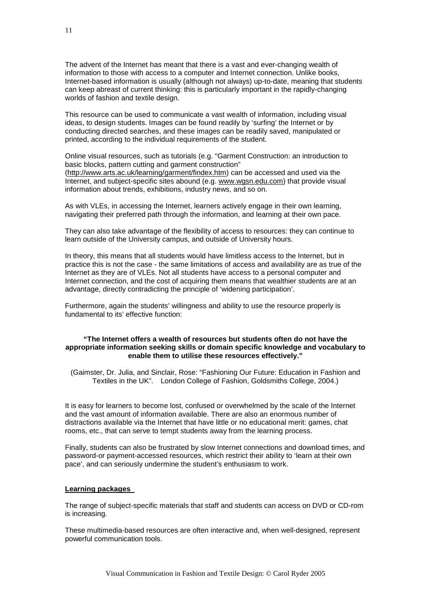The advent of the Internet has meant that there is a vast and ever-changing wealth of information to those with access to a computer and Internet connection. Unlike books, Internet-based information is usually (although not always) up-to-date, meaning that students can keep abreast of current thinking: this is particularly important in the rapidly-changing worlds of fashion and textile design.

This resource can be used to communicate a vast wealth of information, including visual ideas, to design students. Images can be found readily by 'surfing' the Internet or by conducting directed searches, and these images can be readily saved, manipulated or printed, according to the individual requirements of the student.

Online visual resources, such as tutorials (e.g. "Garment Construction: an introduction to basic blocks, pattern cutting and garment construction" [\(http://www.arts.ac.uk/learning/garment/findex.htm\)](http://www.arts.ac.uk/learning/garment/findex.htm) can be accessed and used via the Internet, and subject-specific sites abound (e.g. [www.wgsn.edu.com\)](http://www.wgsn.edu.com/) that provide visual information about trends, exhibitions, industry news, and so on.

As with VLEs, in accessing the Internet, learners actively engage in their own learning, navigating their preferred path through the information, and learning at their own pace.

They can also take advantage of the flexibility of access to resources: they can continue to learn outside of the University campus, and outside of University hours.

In theory, this means that all students would have limitless access to the Internet, but in practice this is not the case - the same limitations of access and availability are as true of the Internet as they are of VLEs. Not all students have access to a personal computer and Internet connection, and the cost of acquiring them means that wealthier students are at an advantage, directly contradicting the principle of 'widening participation'.

Furthermore, again the students' willingness and ability to use the resource properly is fundamental to its' effective function:

#### **"The Internet offers a wealth of resources but students often do not have the appropriate information seeking skills or domain specific knowledge and vocabulary to enable them to utilise these resources effectively."**

(Gaimster, Dr. Julia, and Sinclair, Rose: "Fashioning Our Future: Education in Fashion and Textiles in the UK". London College of Fashion, Goldsmiths College, 2004.)

It is easy for learners to become lost, confused or overwhelmed by the scale of the Internet and the vast amount of information available. There are also an enormous number of distractions available via the Internet that have little or no educational merit: games, chat rooms, etc., that can serve to tempt students away from the learning process.

Finally, students can also be frustrated by slow Internet connections and download times, and password-or payment-accessed resources, which restrict their ability to 'learn at their own pace', and can seriously undermine the student's enthusiasm to work.

#### **Learning packages**

The range of subject-specific materials that staff and students can access on DVD or CD-rom is increasing.

These multimedia-based resources are often interactive and, when well-designed, represent powerful communication tools.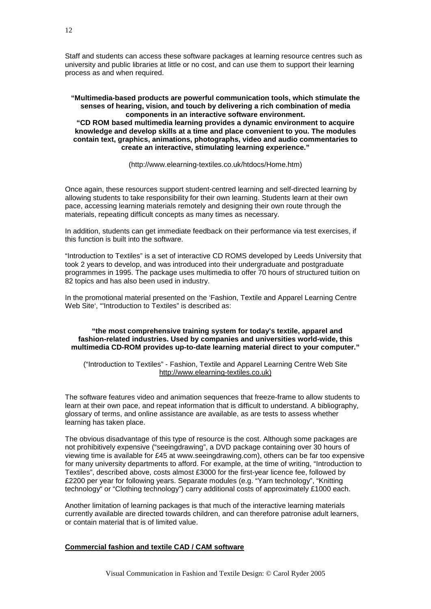Staff and students can access these software packages at learning resource centres such as university and public libraries at little or no cost, and can use them to support their learning process as and when required.

**"Multimedia-based products are powerful communication tools, which stimulate the senses of hearing, vision, and touch by delivering a rich combination of media components in an interactive software environment. "CD ROM based multimedia learning provides a dynamic environment to acquire knowledge and develop skills at a time and place convenient to you. The modules contain text, graphics, animations, photographs, video and audio commentaries to create an interactive, stimulating learning experience."**

(http://www.elearning-textiles.co.uk/htdocs/Home.htm)

Once again, these resources support student-centred learning and self-directed learning by allowing students to take responsibility for their own learning. Students learn at their own pace, accessing learning materials remotely and designing their own route through the materials, repeating difficult concepts as many times as necessary.

In addition, students can get immediate feedback on their performance via test exercises, if this function is built into the software.

"Introduction to Textiles" is a set of interactive CD ROMS developed by Leeds University that took 2 years to develop, and was introduced into their undergraduate and postgraduate programmes in 1995. The package uses multimedia to offer 70 hours of structured tuition on 82 topics and has also been used in industry.

In the promotional material presented on the 'Fashion, Textile and Apparel Learning Centre Web Site', "Introduction to Textiles" is described as:

#### **"the most comprehensive training system for today's textile, apparel and fashion-related industries. Used by companies and universities world-wide, this multimedia CD-ROM provides up-to-date learning material direct to your computer."**

("Introduction to Textiles" - Fashion, Textile and Apparel Learning Centre Web Site http://www.elearning-textiles.co.uk)

The software features video and animation sequences that freeze-frame to allow students to learn at their own pace, and repeat information that is difficult to understand. A bibliography, glossary of terms, and online assistance are available, as are tests to assess whether learning has taken place.

The obvious disadvantage of this type of resource is the cost. Although some packages are not prohibitively expensive ("seeingdrawing", a DVD package containing over 30 hours of viewing time is available for £45 at www.seeingdrawing.com), others can be far too expensive for many university departments to afford. For example, at the time of writing, "Introduction to Textiles", described above, costs almost £3000 for the first-year licence fee, followed by £2200 per year for following years. Separate modules (e.g. "Yarn technology", "Knitting technology" or "Clothing technology") carry additional costs of approximately £1000 each.

Another limitation of learning packages is that much of the interactive learning materials currently available are directed towards children, and can therefore patronise adult learners, or contain material that is of limited value.

#### **Commercial fashion and textile CAD / CAM software**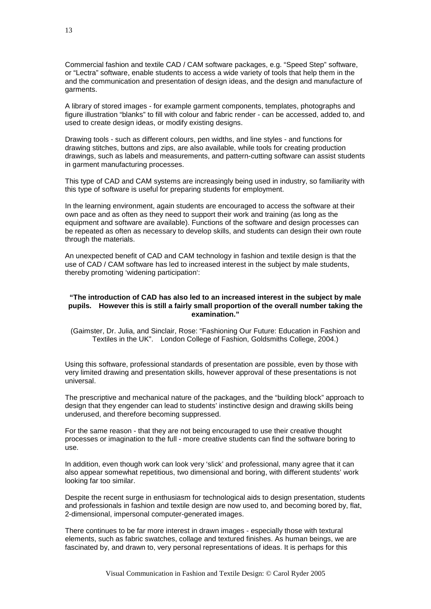Commercial fashion and textile CAD / CAM software packages, e.g. "Speed Step" software, or "Lectra" software, enable students to access a wide variety of tools that help them in the and the communication and presentation of design ideas, and the design and manufacture of garments.

A library of stored images - for example garment components, templates, photographs and figure illustration "blanks" to fill with colour and fabric render - can be accessed, added to, and used to create design ideas, or modify existing designs.

Drawing tools - such as different colours, pen widths, and line styles - and functions for drawing stitches, buttons and zips, are also available, while tools for creating production drawings, such as labels and measurements, and pattern-cutting software can assist students in garment manufacturing processes.

This type of CAD and CAM systems are increasingly being used in industry, so familiarity with this type of software is useful for preparing students for employment.

In the learning environment, again students are encouraged to access the software at their own pace and as often as they need to support their work and training (as long as the equipment and software are available). Functions of the software and design processes can be repeated as often as necessary to develop skills, and students can design their own route through the materials.

An unexpected benefit of CAD and CAM technology in fashion and textile design is that the use of CAD / CAM software has led to increased interest in the subject by male students, thereby promoting 'widening participation':

#### **"The introduction of CAD has also led to an increased interest in the subject by male pupils. However this is still a fairly small proportion of the overall number taking the examination."**

(Gaimster, Dr. Julia, and Sinclair, Rose: "Fashioning Our Future: Education in Fashion and Textiles in the UK". London College of Fashion, Goldsmiths College, 2004.)

Using this software, professional standards of presentation are possible, even by those with very limited drawing and presentation skills, however approval of these presentations is not universal.

The prescriptive and mechanical nature of the packages, and the "building block" approach to design that they engender can lead to students' instinctive design and drawing skills being underused, and therefore becoming suppressed.

For the same reason - that they are not being encouraged to use their creative thought processes or imagination to the full - more creative students can find the software boring to use.

In addition, even though work can look very 'slick' and professional, many agree that it can also appear somewhat repetitious, two dimensional and boring, with different students' work looking far too similar.

Despite the recent surge in enthusiasm for technological aids to design presentation, students and professionals in fashion and textile design are now used to, and becoming bored by, flat, 2-dimensional, impersonal computer-generated images.

There continues to be far more interest in drawn images - especially those with textural elements, such as fabric swatches, collage and textured finishes. As human beings, we are fascinated by, and drawn to, very personal representations of ideas. It is perhaps for this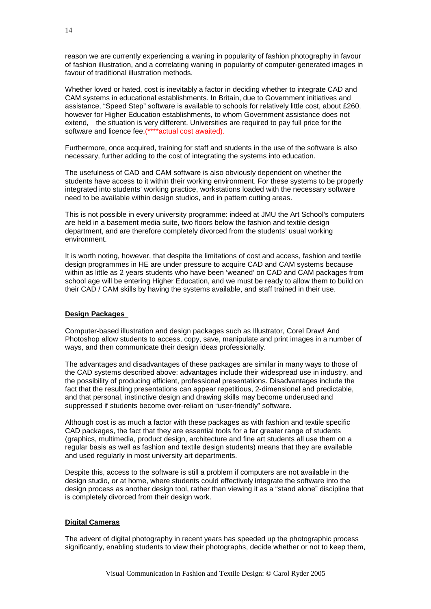reason we are currently experiencing a waning in popularity of fashion photography in favour of fashion illustration, and a correlating waning in popularity of computer-generated images in favour of traditional illustration methods.

Whether loved or hated, cost is inevitably a factor in deciding whether to integrate CAD and CAM systems in educational establishments. In Britain, due to Government initiatives and assistance, "Speed Step" software is available to schools for relatively little cost, about £260, however for Higher Education establishments, to whom Government assistance does not extend, the situation is very different. Universities are required to pay full price for the software and licence fee.(\*\*\*\*actual cost awaited).

Furthermore, once acquired, training for staff and students in the use of the software is also necessary, further adding to the cost of integrating the systems into education.

The usefulness of CAD and CAM software is also obviously dependent on whether the students have access to it within their working environment. For these systems to be properly integrated into students' working practice, workstations loaded with the necessary software need to be available within design studios, and in pattern cutting areas.

This is not possible in every university programme: indeed at JMU the Art School's computers are held in a basement media suite, two floors below the fashion and textile design department, and are therefore completely divorced from the students' usual working environment.

It is worth noting, however, that despite the limitations of cost and access, fashion and textile design programmes in HE are under pressure to acquire CAD and CAM systems because within as little as 2 years students who have been 'weaned' on CAD and CAM packages from school age will be entering Higher Education, and we must be ready to allow them to build on their CAD / CAM skills by having the systems available, and staff trained in their use.

#### **Design Packages**

Computer-based illustration and design packages such as Illustrator, Corel Draw! And Photoshop allow students to access, copy, save, manipulate and print images in a number of ways, and then communicate their design ideas professionally.

The advantages and disadvantages of these packages are similar in many ways to those of the CAD systems described above: advantages include their widespread use in industry, and the possibility of producing efficient, professional presentations. Disadvantages include the fact that the resulting presentations can appear repetitious, 2-dimensional and predictable, and that personal, instinctive design and drawing skills may become underused and suppressed if students become over-reliant on "user-friendly" software.

Although cost is as much a factor with these packages as with fashion and textile specific CAD packages, the fact that they are essential tools for a far greater range of students (graphics, multimedia, product design, architecture and fine art students all use them on a regular basis as well as fashion and textile design students) means that they are available and used regularly in most university art departments.

Despite this, access to the software is still a problem if computers are not available in the design studio, or at home, where students could effectively integrate the software into the design process as another design tool, rather than viewing it as a "stand alone" discipline that is completely divorced from their design work.

#### **Digital Cameras**

The advent of digital photography in recent years has speeded up the photographic process significantly, enabling students to view their photographs, decide whether or not to keep them,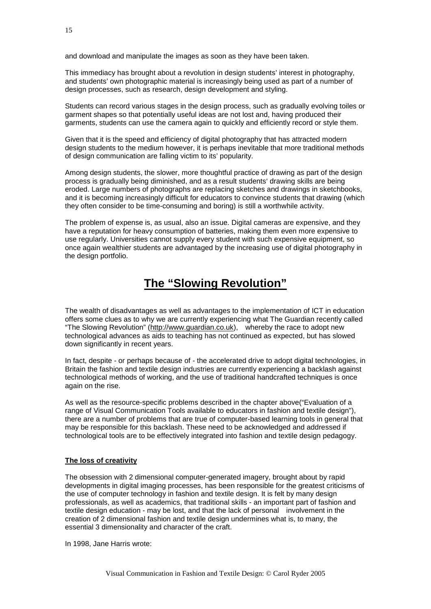and download and manipulate the images as soon as they have been taken.

This immediacy has brought about a revolution in design students' interest in photography, and students' own photographic material is increasingly being used as part of a number of design processes, such as research, design development and styling.

Students can record various stages in the design process, such as gradually evolving toiles or garment shapes so that potentially useful ideas are not lost and, having produced their garments, students can use the camera again to quickly and efficiently record or style them.

Given that it is the speed and efficiency of digital photography that has attracted modern design students to the medium however, it is perhaps inevitable that more traditional methods of design communication are falling victim to its' popularity.

Among design students, the slower, more thoughtful practice of drawing as part of the design process is gradually being diminished, and as a result students' drawing skills are being eroded. Large numbers of photographs are replacing sketches and drawings in sketchbooks, and it is becoming increasingly difficult for educators to convince students that drawing (which they often consider to be time-consuming and boring) is still a worthwhile activity.

The problem of expense is, as usual, also an issue. Digital cameras are expensive, and they have a reputation for heavy consumption of batteries, making them even more expensive to use regularly. Universities cannot supply every student with such expensive equipment, so once again wealthier students are advantaged by the increasing use of digital photography in the design portfolio.

# **The "Slowing Revolution"**

The wealth of disadvantages as well as advantages to the implementation of ICT in education offers some clues as to why we are currently experiencing what The Guardian recently called "The Slowing Revolution" (http://www.guardian.co.uk), whereby the race to adopt new technological advances as aids to teaching has not continued as expected, but has slowed down significantly in recent years.

In fact, despite - or perhaps because of - the accelerated drive to adopt digital technologies, in Britain the fashion and textile design industries are currently experiencing a backlash against technological methods of working, and the use of traditional handcrafted techniques is once again on the rise.

As well as the resource-specific problems described in the chapter above("Evaluation of a range of Visual Communication Tools available to educators in fashion and textile design"), there are a number of problems that are true of computer-based learning tools in general that may be responsible for this backlash. These need to be acknowledged and addressed if technological tools are to be effectively integrated into fashion and textile design pedagogy.

#### **The loss of creativity**

The obsession with 2 dimensional computer-generated imagery, brought about by rapid developments in digital imaging processes, has been responsible for the greatest criticisms of the use of computer technology in fashion and textile design. It is felt by many design professionals, as well as academics, that traditional skills - an important part of fashion and textile design education - may be lost, and that the lack of personal involvement in the creation of 2 dimensional fashion and textile design undermines what is, to many, the essential 3 dimensionality and character of the craft.

In 1998, Jane Harris wrote: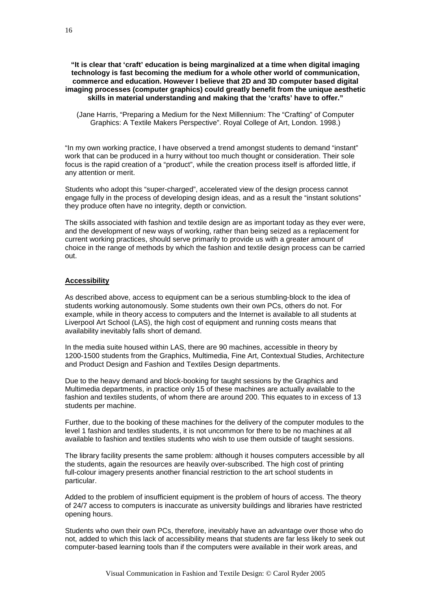#### **"It is clear that 'craft' education is being marginalized at a time when digital imaging technology is fast becoming the medium for a whole other world of communication, commerce and education. However I believe that 2D and 3D computer based digital imaging processes (computer graphics) could greatly benefit from the unique aesthetic skills in material understanding and making that the 'crafts' have to offer."**

(Jane Harris, "Preparing a Medium for the Next Millennium: The "Crafting" of Computer Graphics: A Textile Makers Perspective". Royal College of Art, London. 1998.)

"In my own working practice, I have observed a trend amongst students to demand "instant" work that can be produced in a hurry without too much thought or consideration. Their sole focus is the rapid creation of a "product", while the creation process itself is afforded little, if any attention or merit.

Students who adopt this "super-charged", accelerated view of the design process cannot engage fully in the process of developing design ideas, and as a result the "instant solutions" they produce often have no integrity, depth or conviction.

The skills associated with fashion and textile design are as important today as they ever were, and the development of new ways of working, rather than being seized as a replacement for current working practices, should serve primarily to provide us with a greater amount of choice in the range of methods by which the fashion and textile design process can be carried out.

#### **Accessibility**

As described above, access to equipment can be a serious stumbling-block to the idea of students working autonomously. Some students own their own PCs, others do not. For example, while in theory access to computers and the Internet is available to all students at Liverpool Art School (LAS), the high cost of equipment and running costs means that availability inevitably falls short of demand.

In the media suite housed within LAS, there are 90 machines, accessible in theory by 1200-1500 students from the Graphics, Multimedia, Fine Art, Contextual Studies, Architecture and Product Design and Fashion and Textiles Design departments.

Due to the heavy demand and block-booking for taught sessions by the Graphics and Multimedia departments, in practice only 15 of these machines are actually available to the fashion and textiles students, of whom there are around 200. This equates to in excess of 13 students per machine.

Further, due to the booking of these machines for the delivery of the computer modules to the level 1 fashion and textiles students, it is not uncommon for there to be no machines at all available to fashion and textiles students who wish to use them outside of taught sessions.

The library facility presents the same problem: although it houses computers accessible by all the students, again the resources are heavily over-subscribed. The high cost of printing full-colour imagery presents another financial restriction to the art school students in particular.

Added to the problem of insufficient equipment is the problem of hours of access. The theory of 24/7 access to computers is inaccurate as university buildings and libraries have restricted opening hours.

Students who own their own PCs, therefore, inevitably have an advantage over those who do not, added to which this lack of accessibility means that students are far less likely to seek out computer-based learning tools than if the computers were available in their work areas, and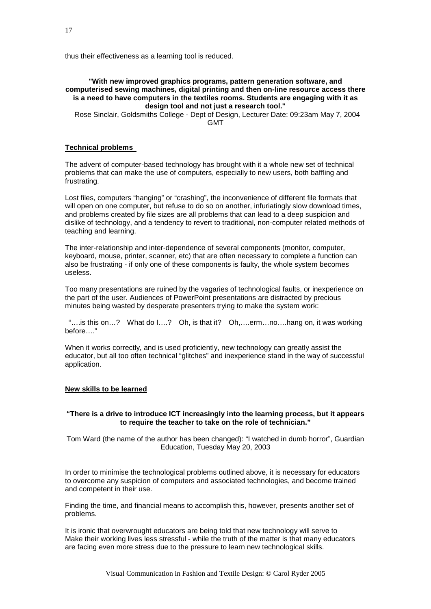thus their effectiveness as a learning tool is reduced.

#### **"With new improved graphics programs, pattern generation software, and computerised sewing machines, digital printing and then on-line resource access there is a need to have computers in the textiles rooms. Students are engaging with it as design tool and not just a research tool."**

Rose Sinclair, Goldsmiths College - Dept of Design, Lecturer Date: 09:23am May 7, 2004 GMT

#### **Technical problems**

The advent of computer-based technology has brought with it a whole new set of technical problems that can make the use of computers, especially to new users, both baffling and frustrating.

Lost files, computers "hanging" or "crashing", the inconvenience of different file formats that will open on one computer, but refuse to do so on another, infuriatingly slow download times, and problems created by file sizes are all problems that can lead to a deep suspicion and dislike of technology, and a tendency to revert to traditional, non-computer related methods of teaching and learning.

The inter-relationship and inter-dependence of several components (monitor, computer, keyboard, mouse, printer, scanner, etc) that are often necessary to complete a function can also be frustrating - if only one of these components is faulty, the whole system becomes useless.

Too many presentations are ruined by the vagaries of technological faults, or inexperience on the part of the user. Audiences of PowerPoint presentations are distracted by precious minutes being wasted by desperate presenters trying to make the system work:

"….is this on…? What do I….? Oh, is that it? Oh,….erm…no….hang on, it was working before…."

When it works correctly, and is used proficiently, new technology can greatly assist the educator, but all too often technical "glitches" and inexperience stand in the way of successful application.

#### **New skills to be learned**

#### **"There is a drive to introduce ICT increasingly into the learning process, but it appears to require the teacher to take on the role of technician."**

Tom Ward (the name of the author has been changed): "I watched in dumb horror", Guardian Education, Tuesday May 20, 2003

In order to minimise the technological problems outlined above, it is necessary for educators to overcome any suspicion of computers and associated technologies, and become trained and competent in their use.

Finding the time, and financial means to accomplish this, however, presents another set of problems.

It is ironic that overwrought educators are being told that new technology will serve to Make their working lives less stressful - while the truth of the matter is that many educators are facing even more stress due to the pressure to learn new technological skills.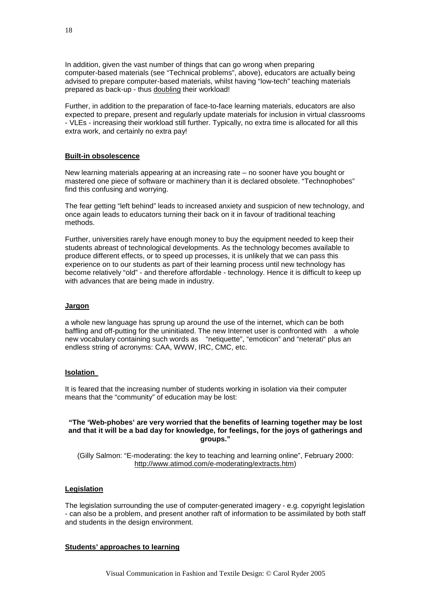In addition, given the vast number of things that can go wrong when preparing computer-based materials (see "Technical problems", above), educators are actually being advised to prepare computer-based materials, whilst having "low-tech" teaching materials prepared as back-up - thus doubling their workload!

Further, in addition to the preparation of face-to-face learning materials, educators are also expected to prepare, present and regularly update materials for inclusion in virtual classrooms - VLEs - increasing their workload still further. Typically, no extra time is allocated for all this extra work, and certainly no extra pay!

#### **Built-in obsolescence**

New learning materials appearing at an increasing rate – no sooner have you bought or mastered one piece of software or machinery than it is declared obsolete. "Technophobes" find this confusing and worrying.

The fear getting "left behind" leads to increased anxiety and suspicion of new technology, and once again leads to educators turning their back on it in favour of traditional teaching methods.

Further, universities rarely have enough money to buy the equipment needed to keep their students abreast of technological developments. As the technology becomes available to produce different effects, or to speed up processes, it is unlikely that we can pass this experience on to our students as part of their learning process until new technology has become relatively "old" - and therefore affordable - technology. Hence it is difficult to keep up with advances that are being made in industry.

#### **Jargon**

a whole new language has sprung up around the use of the internet, which can be both baffling and off-putting for the uninitiated. The new Internet user is confronted with a whole new vocabulary containing such words as "netiquette", "emoticon" and "neterati" plus an endless string of acronyms: CAA, WWW, IRC, CMC, etc.

#### **Isolation**

It is feared that the increasing number of students working in isolation via their computer means that the "community" of education may be lost:

#### **"The 'Web-phobes' are very worried that the benefits of learning together may be lost and that it will be a bad day for knowledge, for feelings, for the joys of gatherings and groups."**

(Gilly Salmon: "E-moderating: the key to teaching and learning online", February 2000: [http://www.atimod.com/e-moderating/extracts.htm\)](http://www.atimod.com/e-moderating/extracts.htm)

#### **Legislation**

The legislation surrounding the use of computer-generated imagery - e.g. copyright legislation - can also be a problem, and present another raft of information to be assimilated by both staff and students in the design environment.

#### **Students' approaches to learning**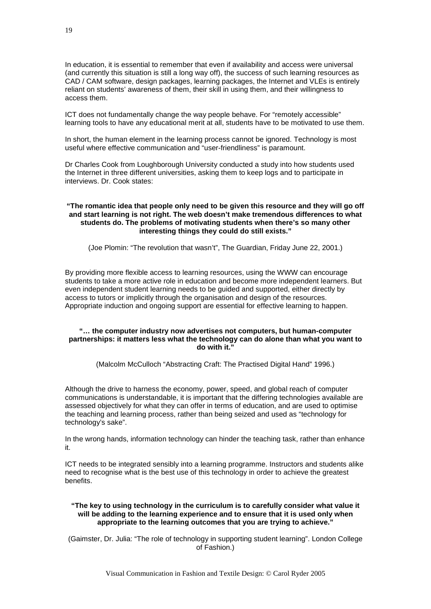In education, it is essential to remember that even if availability and access were universal (and currently this situation is still a long way off), the success of such learning resources as CAD / CAM software, design packages, learning packages, the Internet and VLEs is entirely reliant on students' awareness of them, their skill in using them, and their willingness to access them.

ICT does not fundamentally change the way people behave. For "remotely accessible" learning tools to have any educational merit at all, students have to be motivated to use them.

In short, the human element in the learning process cannot be ignored. Technology is most useful where effective communication and "user-friendliness" is paramount.

Dr Charles Cook from Loughborough University conducted a study into how students used the Internet in three different universities, asking them to keep logs and to participate in interviews. Dr. Cook states:

#### **"The romantic idea that people only need to be given this resource and they will go off and start learning is not right. The web doesn't make tremendous differences to what students do. The problems of motivating students when there's so many other interesting things they could do still exists."**

(Joe Plomin: "The revolution that wasn't", The Guardian, Friday June 22, 2001.)

By providing more flexible access to learning resources, using the WWW can encourage students to take a more active role in education and become more independent learners. But even independent student learning needs to be guided and supported, either directly by access to tutors or implicitly through the organisation and design of the resources. Appropriate induction and ongoing support are essential for effective learning to happen.

#### **"… the computer industry now advertises not computers, but human-computer partnerships: it matters less what the technology can do alone than what you want to do with it."**

(Malcolm McCulloch "Abstracting Craft: The Practised Digital Hand" 1996.)

Although the drive to harness the economy, power, speed, and global reach of computer communications is understandable, it is important that the differing technologies available are assessed objectively for what they can offer in terms of education, and are used to optimise the teaching and learning process, rather than being seized and used as "technology for technology's sake".

In the wrong hands, information technology can hinder the teaching task, rather than enhance it.

ICT needs to be integrated sensibly into a learning programme. Instructors and students alike need to recognise what is the best use of this technology in order to achieve the greatest benefits.

#### **"The key to using technology in the curriculum is to carefully consider what value it will be adding to the learning experience and to ensure that it is used only when appropriate to the learning outcomes that you are trying to achieve."**

(Gaimster, Dr. Julia: "The role of technology in supporting student learning". London College of Fashion.)